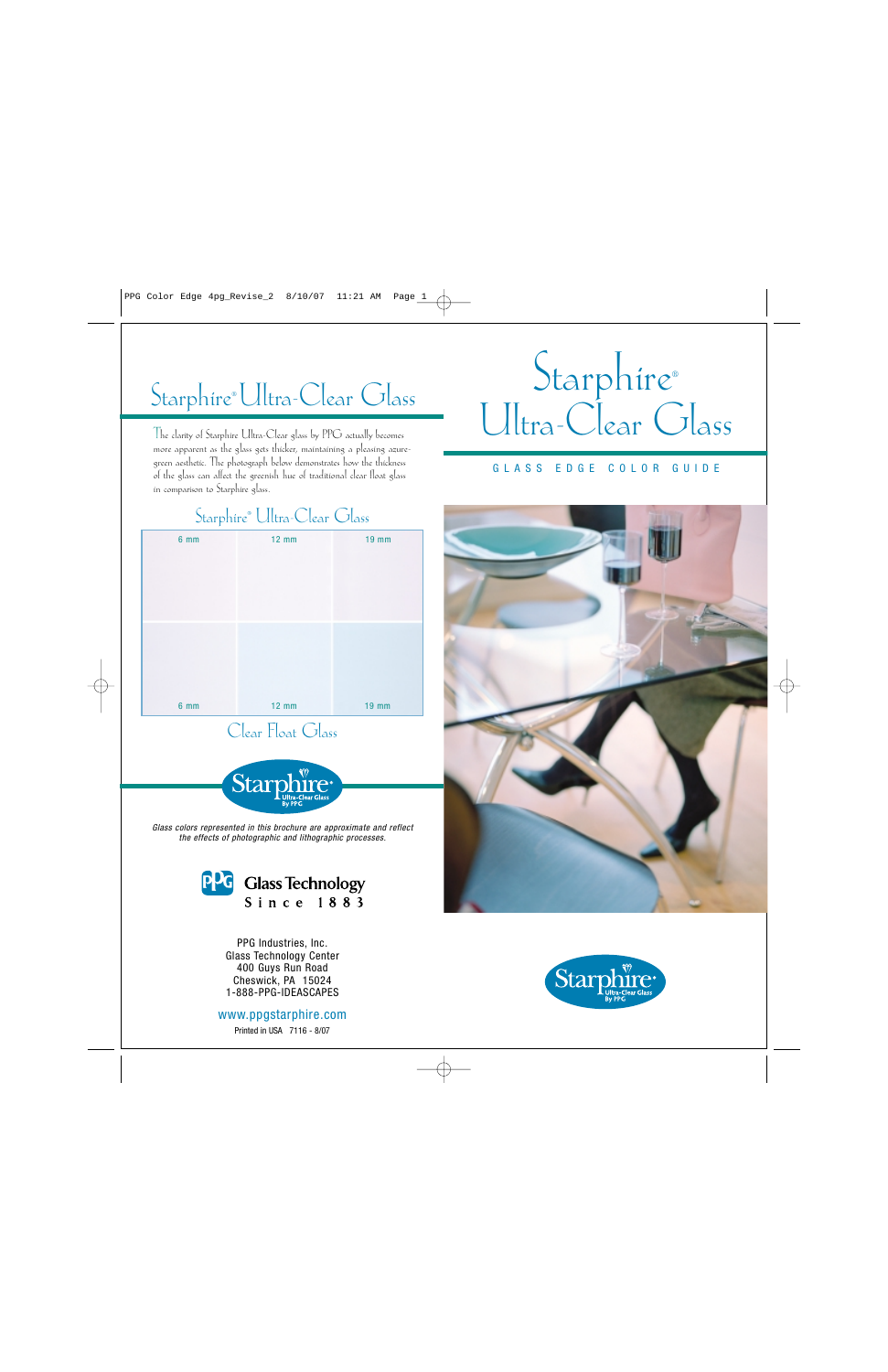# Starphire®Ultra-Clear Glass

The clarity of Starphire Ultra-Clear glass by PPG actually becomes more apparent as the glass gets thicker, maintaining a pleasing azure- green aesthetic. The photograph below demonstrates how the thickness of the glass can affect the greenish hue of traditional clear float glass in comparison to Starphire glass.

# Starphire® Ultra-Clear Glass

#### GLASS EDGE COLOR GUIDE

### Starphire® Ultra-Clear Glass

| $6 \, \text{mm}$ | $12$ mm | <b>19 mm</b> |
|------------------|---------|--------------|
|                  |         |              |
| 6 <sub>mm</sub>  | $12$ mm | <b>19 mm</b> |

Clear Float Glass



*Glass colors represented in this brochure are approximate and reflect the effects of photographic and lithographic processes.*



PPG Industries, Inc. Glass Technology Center 400 Guys Run Road Cheswick, PA 15024 1-888-PPG-IDEASCAPES

www.ppgstarphire.com Printed in USA 7116 - 8/07